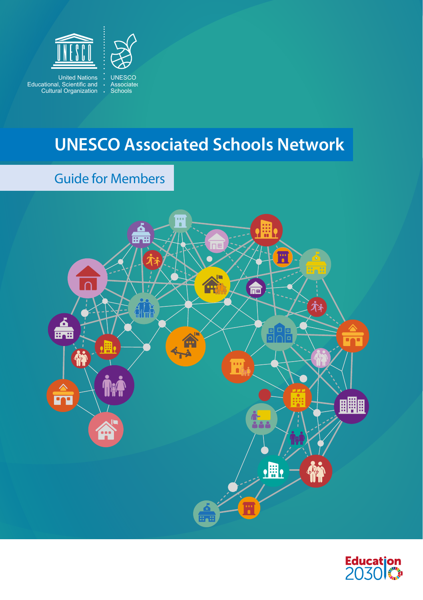

United Nations Educational, Scientific and Cultural Organization



## **UNESCO Associated Schools Network**

### Guide for Members



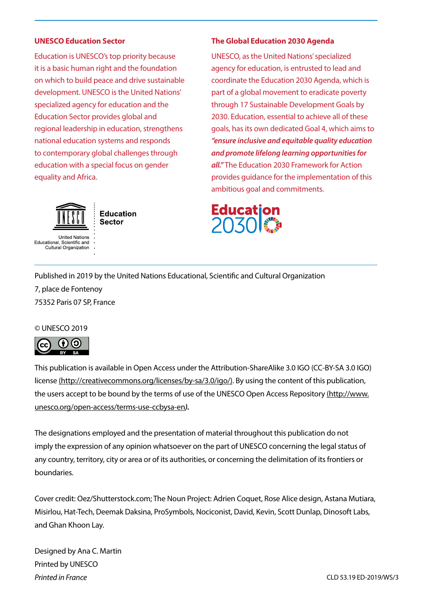#### **UNESCO Education Sector**

Education is UNESCO's top priority because it is a basic human right and the foundation on which to build peace and drive sustainable development. UNESCO is the United Nations' specialized agency for education and the Education Sector provides global and regional leadership in education, strengthens national education systems and responds to contemporary global challenges through education with a special focus on gender equality and Africa.



Educational, Scientific and Cultural Organization

**Education** Sector

#### **The Global Education 2030 Agenda**

UNESCO, as the United Nations' specialized agency for education, is entrusted to lead and coordinate the Education 2030 Agenda, which is part of a global movement to eradicate poverty through 17 Sustainable Development Goals by 2030. Education, essential to achieve all of these goals, has its own dedicated Goal 4, which aims to *"ensure inclusive and equitable quality education and promote lifelong learning opportunities for all."* The Education 2030 Framework for Action provides guidance for the implementation of this ambitious goal and commitments.



Published in 2019 by the United Nations Educational, Scientific and Cultural Organization

7, place de Fontenoy 75352 Paris 07 SP, France

#### © UNESCO 2019



This publication is available in Open Access under the Attribution-ShareAlike 3.0 IGO (CC-BY-SA 3.0 IGO) license [\(http://creativecommons.org/licenses/by-sa/3.0/igo/\). By](http://creativecommons.org/licenses/by-sa/3.0/igo/) using the content of this publication, the users accept to be bound by the terms of use of the UNESCO Open Access Repository [\(http://www.](http://www.unesco.org/open-access/terms-use-ccbysa-en) [unesco.org/open-access/terms-use-ccbysa-en](http://www.unesco.org/open-access/terms-use-ccbysa-en)*).*

The designations employed and the presentation of material throughout this publication do not imply the expression of any opinion whatsoever on the part of UNESCO concerning the legal status of any country, territory, city or area or of its authorities, or concerning the delimitation of its frontiers or boundaries.

Cover credit: Oez/Shutterstock.com; The Noun Project: Adrien Coquet, Rose Alice design, Astana Mutiara, Misirlou, Hat-Tech, Deemak Daksina, ProSymbols, Nociconist, David, Kevin, Scott Dunlap, Dinosoft Labs, and Ghan Khoon Lay.

Designed by Ana C. Martin Printed by UNESCO *Printed in France*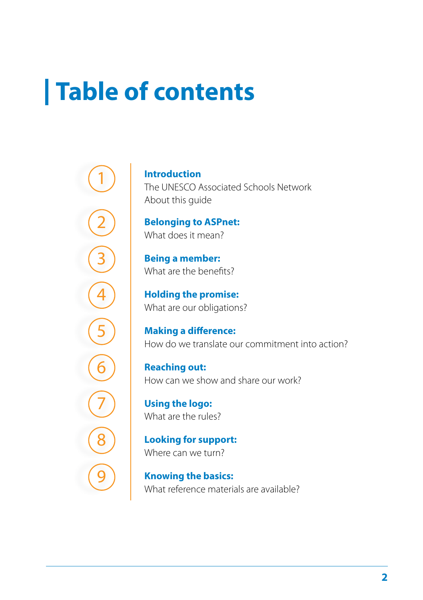# **Table of contents**

**Introduction** The UNESCO Associated Schools Network About this guide

**Belonging to ASPnet:** What does it mean?

**Being a member:**  What are the benefits?

**Holding the promise:**  What are our obligations?

**Making a difference:** How do we translate our commitment into action?

**Reaching out:** How can we show and share our work?

**Using the logo:** What are the rules?

**Looking for support:** Where can we turn?

**Knowing the basics:** What reference materials are available?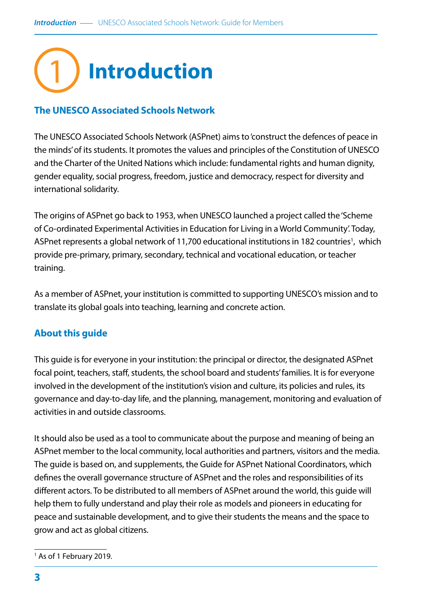## 1**Introduction**

#### **The UNESCO Associated Schools Network**

The UNESCO Associated Schools Network (ASPnet) aims to 'construct the defences of peace in the minds' of its students. It promotes the values and principles of the Constitution of UNESCO and the Charter of the United Nations which include: fundamental rights and human dignity, gender equality, social progress, freedom, justice and democracy, respect for diversity and international solidarity.

The origins of ASPnet go back to 1953, when UNESCO launched a project called the 'Scheme of Co-ordinated Experimental Activities in Education for Living in a World Community'. Today, ASPnet represents a global network of 11,700 educational institutions in 182 countries<sup>1</sup>, which provide pre-primary, primary, secondary, technical and vocational education, or teacher training.

As a member of ASPnet, your institution is committed to supporting UNESCO's mission and to translate its global goals into teaching, learning and concrete action.

#### **About this guide**

This guide is for everyone in your institution: the principal or director, the designated ASPnet focal point, teachers, staff, students, the school board and students' families. It is for everyone involved in the development of the institution's vision and culture, its policies and rules, its governance and day-to-day life, and the planning, management, monitoring and evaluation of activities in and outside classrooms.

It should also be used as a tool to communicate about the purpose and meaning of being an ASPnet member to the local community, local authorities and partners, visitors and the media. The guide is based on, and supplements, the Guide for ASPnet National Coordinators, which defines the overall governance structure of ASPnet and the roles and responsibilities of its different actors. To be distributed to all members of ASPnet around the world, this guide will help them to fully understand and play their role as models and pioneers in educating for peace and sustainable development, and to give their students the means and the space to grow and act as global citizens.

<sup>&</sup>lt;sup>1</sup> As of 1 February 2019.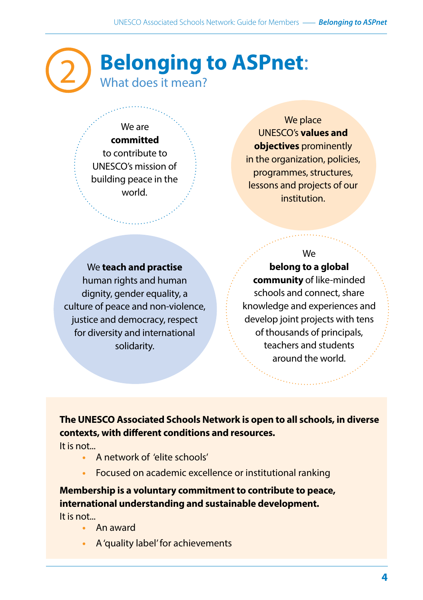## **Belonging to ASPnet**: What does it mean?

#### We are **committed**  to contribute to UNESCO's mission of building peace in the world.

We place UNESCO's **values and objectives** prominently in the organization, policies, programmes, structures, lessons and projects of our institution.

We **teach and practise**  human rights and human dignity, gender equality, a culture of peace and non-violence, justice and democracy, respect for diversity and international solidarity.

#### We

**belong to a global community** of like-minded schools and connect, share knowledge and experiences and develop joint projects with tens of thousands of principals, teachers and students around the world.

#### **The UNESCO Associated Schools Network is open to all schools, in diverse contexts, with different conditions and resources.**

It is not...

2

- **•** A network of 'elite schools'
- **•** Focused on academic excellence or institutional ranking

### **Membership is a voluntary commitment to contribute to peace, international understanding and sustainable development.**

It is not...

- **•** An award
- **•** A 'quality label' for achievements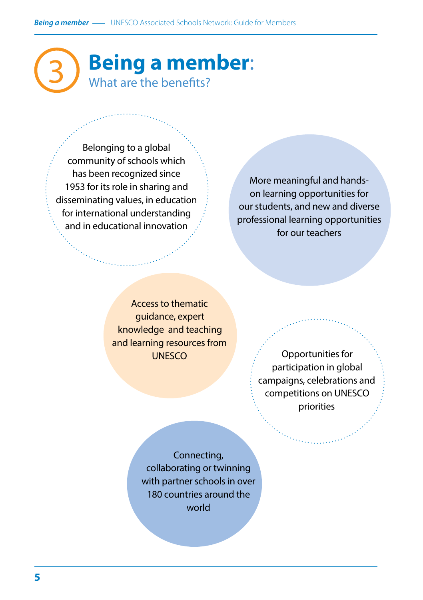## 3 **Being a member**: What are the benefits?

Belonging to a global community of schools which has been recognized since 1953 for its role in sharing and disseminating values, in education for international understanding and in educational innovation

More meaningful and handson learning opportunities for our students, and new and diverse professional learning opportunities for our teachers

Access to thematic guidance, expert knowledge and teaching and learning resources from **UNESCO** 

Opportunities for participation in global campaigns, celebrations and competitions on UNESCO priorities

Connecting, collaborating or twinning with partner schools in over 180 countries around the world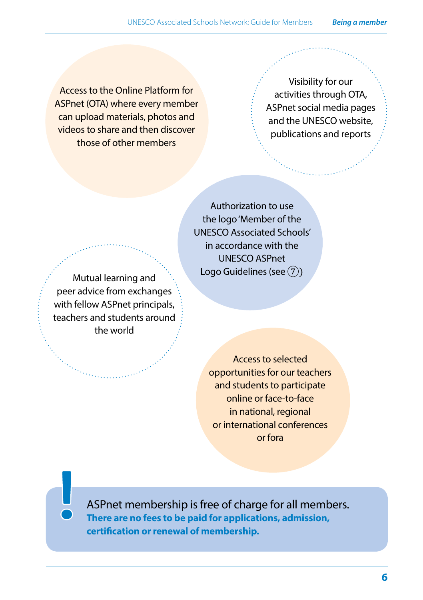Access to the Online Platform for ASPnet (OTA) where every member can upload materials, photos and videos to share and then discover those of other members

Visibility for our activities through OTA, ASPnet social media pages and the UNESCO website, publications and reports

Mutual learning and **Logo Guidelines (see 7)** peer advice from exchanges with fellow ASPnet principals, teachers and students around the world

Authorization to use the logo 'Member of the UNESCO Associated Schools' in accordance with the UNESCO ASPnet

> Access to selected opportunities for our teachers and students to participate online or face-to-face in national, regional or international conferences or fora

ASPnet membership is free of charge for all members. **There are no fees to be paid for applications, admission, certification or renewal of membership.**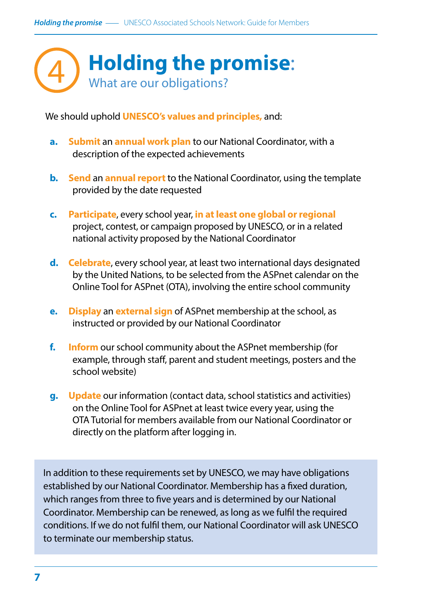

We should uphold **UNESCO's values and principles,** and:

- **a. Submit** an **annual work plan** to our National Coordinator, with a description of the expected achievements
- **b. Send** an **annual report**to the National Coordinator, using the template provided by the date requested
- **c. Participate**, every school year, **in at least one global or regional** project, contest, or campaign proposed by UNESCO, or in a related national activity proposed by the National Coordinator
- **d. Celebrate**, every school year, at least two international days designated by the United Nations, to be selected from the ASPnet calendar on the Online Tool for ASPnet (OTA), involving the entire school community
- **e. Display** an **external sign** of ASPnet membership at the school, as instructed or provided by our National Coordinator
- **f. Inform** our school community about the ASPnet membership (for example, through staff, parent and student meetings, posters and the school website)
- **g. Update** our information (contact data, school statistics and activities) on the Online Tool for ASPnet at least twice every year, using the OTA Tutorial for members available from our National Coordinator or directly on the platform after logging in.

In addition to these requirements set by UNESCO, we may have obligations established by our National Coordinator. Membership has a fixed duration, which ranges from three to five years and is determined by our National Coordinator. Membership can be renewed, as long as we fulfil the required conditions. If we do not fulfil them, our National Coordinator will ask UNESCO to terminate our membership status.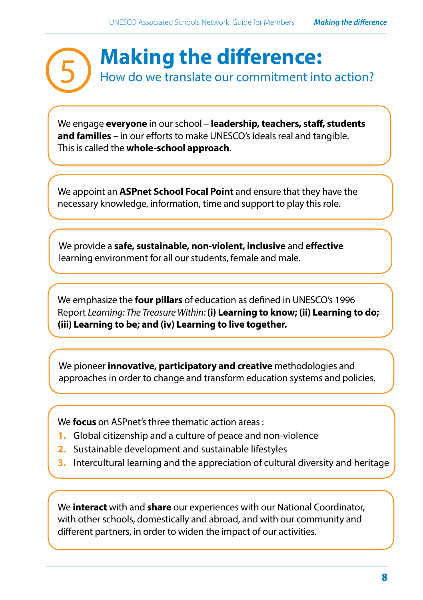

We engage **everyone** in our school – **leadership, teachers, staff, students and families** – in our efforts to make UNESCO's ideals real and tangible. This is called the **whole-school approach**.

We appoint an **ASPnet School Focal Point** and ensure that they have the necessary knowledge, information, time and support to play this role.

We provide a **safe, sustainable, non-violent, inclusive** and **effective** learning environment for all our students, female and male.

We emphasize the **four pillars** of education as defined in UNESCO's 1996 Report *Learning: The Treasure Within:* **(i) Learning to know; (ii) Learning to do; (iii) Learning to be; and (iv) Learning to live together.**

We pioneer **innovative, participatory and creative** methodologies and approaches in order to change and transform education systems and policies.

We **focus** on ASPnet's three thematic action areas :

- **1.** Global citizenship and a culture of peace and non-violence
- **2.** Sustainable development and sustainable lifestyles
- **3.** Intercultural learning and the appreciation of cultural diversity and heritage

We **interact** with and **share** our experiences with our National Coordinator, with other schools, domestically and abroad, and with our community and different partners, in order to widen the impact of our activities.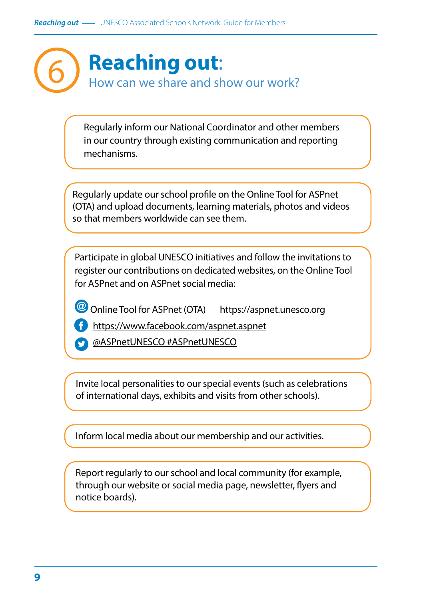

Regularly inform our National Coordinator and other members in our country through existing communication and reporting mechanisms.

Regularly update our school profile on the Online Tool for ASPnet (OTA) and upload documents, learning materials, photos and videos so that members worldwide can see them.

Participate in global UNESCO initiatives and follow the invitations to register our contributions on dedicated websites, on the Online Tool for ASPnet and on ASPnet social media:

Online Tool for ASPnet (OTA) <https://aspnet.unesco.org>

<https://www.facebook.com/aspnet.aspnet>

@ASPnetUNESCO #ASPnetUNESCO

Invite local personalities to our special events (such as celebrations of international days, exhibits and visits from other schools).

Inform local media about our membership and our activities.

Report regularly to our school and local community (for example, through our website or social media page, newsletter, flyers and notice boards).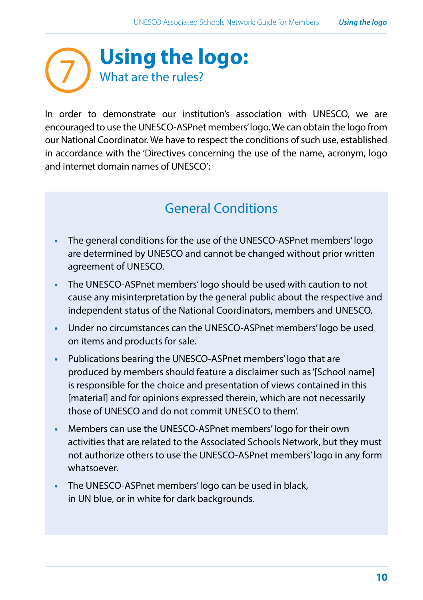

In order to demonstrate our institution's association with UNESCO, we are encouraged to use the UNESCO-ASPnet members' logo. We can obtain the logo from our National Coordinator. We have to respect the conditions of such use, established in accordance with the 'Directives concerning the use of the name, acronym, logo and internet domain names of UNESCO':

## General Conditions

- **•** The general conditions for the use of the UNESCO-ASPnet members' logo are determined by UNESCO and cannot be changed without prior written agreement of UNESCO.
- **•** The UNESCO-ASPnet members' logo should be used with caution to not cause any misinterpretation by the general public about the respective and independent status of the National Coordinators, members and UNESCO.
- **•** Under no circumstances can the UNESCO-ASPnet members' logo be used on items and products for sale.
- **•** Publications bearing the UNESCO-ASPnet members' logo that are produced by members should feature a disclaimer such as '[School name] is responsible for the choice and presentation of views contained in this [material] and for opinions expressed therein, which are not necessarily those of UNESCO and do not commit UNESCO to them'.
- **•** Members can use the UNESCO-ASPnet members' logo for their own activities that are related to the Associated Schools Network, but they must not authorize others to use the UNESCO-ASPnet members' logo in any form whatsoever.
- **•** The UNESCO-ASPnet members' logo can be used in black, in UN blue, or in white for dark backgrounds.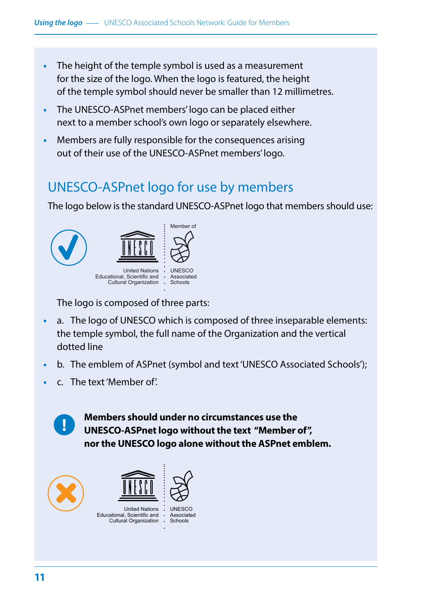- **•** The height of the temple symbol is used as a measurement for the size of the logo. When the logo is featured, the height of the temple symbol should never be smaller than 12 millimetres.
- **•** The UNESCO-ASPnet members' logo can be placed either next to a member school's own logo or separately elsewhere.
- **•** Members are fully responsible for the consequences arising out of their use of the UNESCO-ASPnet members' logo.

### UNESCO-ASPnet logo for use by members

The logo below is the standard UNESCO-ASPnet logo that members should use:



The logo is composed of three parts:

- **•** a. The logo of UNESCO which is composed of three inseparable elements: the temple symbol, the full name of the Organization and the vertical dotted line
- **•** b. The emblem of ASPnet (symbol and text 'UNESCO Associated Schools');
- **•** c. The text 'Member of'.

**!**

**Members should under no circumstances use the UNESCO-ASPnet logo without the text "Member of", nor the UNESCO logo alone without the ASPnet emblem.**

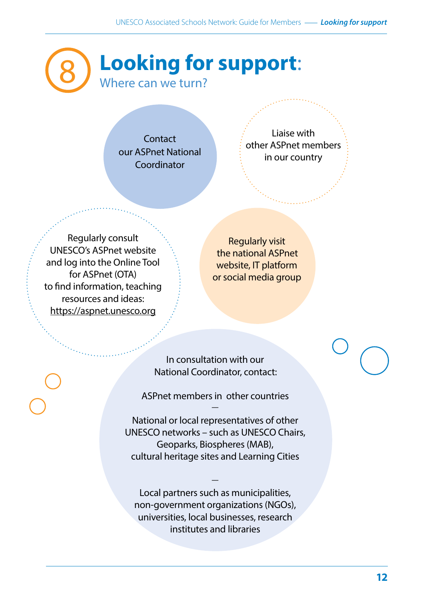## 8 **Looking for support**: Where can we turn?

**Contact** our ASPnet National Coordinator

Liaise with other ASPnet members in our country

Regularly consult UNESCO's ASPnet website and log into the Online Tool for ASPnet (OTA) to find information, teaching resources and ideas: <https://aspnet.unesco.org>

Regularly visit the national ASPnet website, IT platform or social media group

In consultation with our National Coordinator, contact:

ASPnet members in other countries —

National or local representatives of other UNESCO networks – such as UNESCO Chairs, Geoparks, Biospheres (MAB), cultural heritage sites and Learning Cities

Local partners such as municipalities, non-government organizations (NGOs), universities, local businesses, research institutes and libraries

—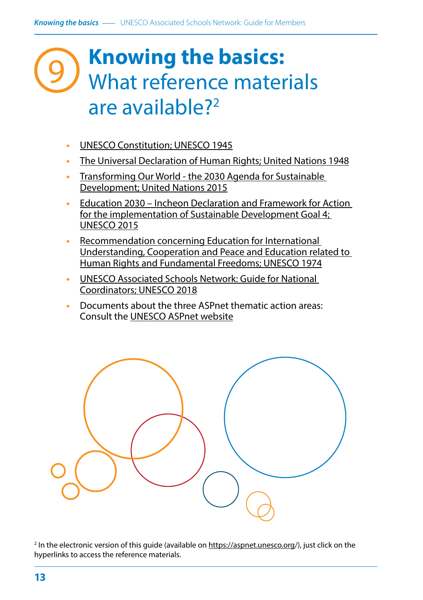## **Knowing the basics:** What reference materials are available?2 9

- **•** UNESCO Constitution; UNESCO 1945
- **•** The Universal Declaration of Human Rights; United Nations 1948
- **•** Transforming Our World the 2030 Agenda for Sustainable Development; United Nations 2015
- **•** Education 2030 Incheon Declaration and Framework for Action for the implementation of Sustainable Development Goal 4; UNESCO 2015
- **•** Recommendation concerning Education for International Understanding, Cooperation and Peace and Education related to Human Rights and Fundamental Freedoms; UNESCO 1974
- **•** UNESCO Associated Schools Network: Guide for National Coordinators; UNESCO 2018
- **•** Documents about the three ASPnet thematic action areas: Consult the UNESCO ASPnet website



<sup>2</sup> In the electronic version of this guide (available on [https://aspnet.unesco.org/\), ju](https://aspnet.unesco.org/)st click on the hyperlinks to access the reference materials.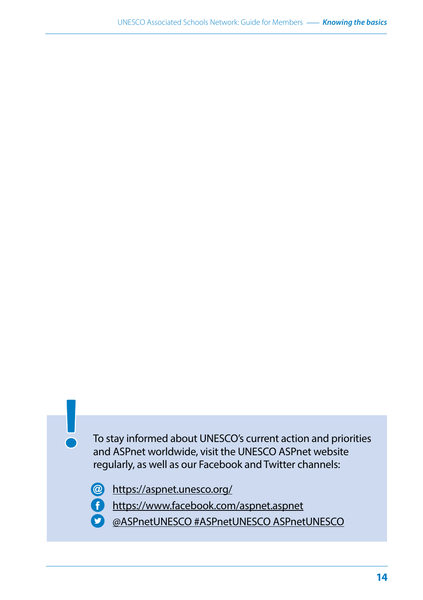To stay informed about UNESCO's current action and priorities and ASPnet worldwide, visit the UNESCO ASPnet website regularly, as well as our Facebook and Twitter channels:

- <https://aspnet.unesco.org/>
- <https://www.facebook.com/aspnet.aspnet>
- @ASPnetUNESCO #ASPnetUNESCO ASPnetUNESCO $\bullet$